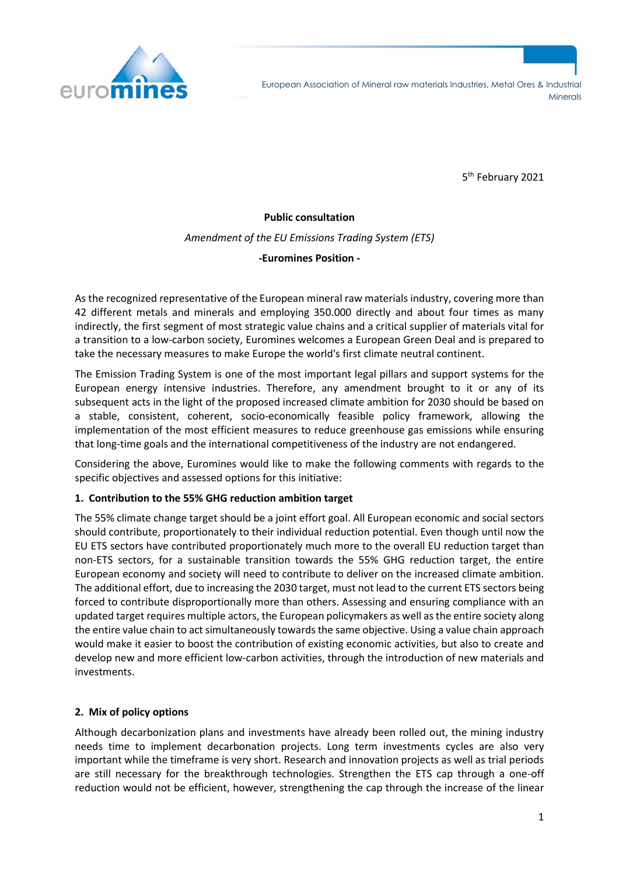

5<sup>th</sup> February 2021

#### **Public consultation**

*Amendment of the EU Emissions Trading System (ETS)*

**-Euromines Position -**

As the recognized representative of the European mineral raw materials industry, covering more than 42 different metals and minerals and employing 350.000 directly and about four times as many indirectly, the first segment of most strategic value chains and a critical supplier of materials vital for a transition to a low-carbon society, Euromines welcomes a European Green Deal and is prepared to take the necessary measures to make Europe the world's first climate neutral continent.

The Emission Trading System is one of the most important legal pillars and support systems for the European energy intensive industries. Therefore, any amendment brought to it or any of its subsequent acts in the light of the proposed increased climate ambition for 2030 should be based on a stable, consistent, coherent, socio-economically feasible policy framework, allowing the implementation of the most efficient measures to reduce greenhouse gas emissions while ensuring that long-time goals and the international competitiveness of the industry are not endangered.

Considering the above, Euromines would like to make the following comments with regards to the specific objectives and assessed options for this initiative:

## **1. Contribution to the 55% GHG reduction ambition target**

The 55% climate change target should be a joint effort goal. All European economic and social sectors should contribute, proportionately to their individual reduction potential. Even though until now the EU ETS sectors have contributed proportionately much more to the overall EU reduction target than non-ETS sectors, for a sustainable transition towards the 55% GHG reduction target, the entire European economy and society will need to contribute to deliver on the increased climate ambition. The additional effort, due to increasing the 2030 target, must not lead to the current ETS sectors being forced to contribute disproportionally more than others. Assessing and ensuring compliance with an updated target requires multiple actors, the European policymakers as well as the entire society along the entire value chain to act simultaneously towards the same objective. Using a value chain approach would make it easier to boost the contribution of existing economic activities, but also to create and develop new and more efficient low-carbon activities, through the introduction of new materials and investments.

## **2. Mix of policy options**

Although decarbonization plans and investments have already been rolled out, the mining industry needs time to implement decarbonation projects. Long term investments cycles are also very important while the timeframe is very short. Research and innovation projects as well as trial periods are still necessary for the breakthrough technologies. Strengthen the ETS cap through a one-off reduction would not be efficient, however, strengthening the cap through the increase of the linear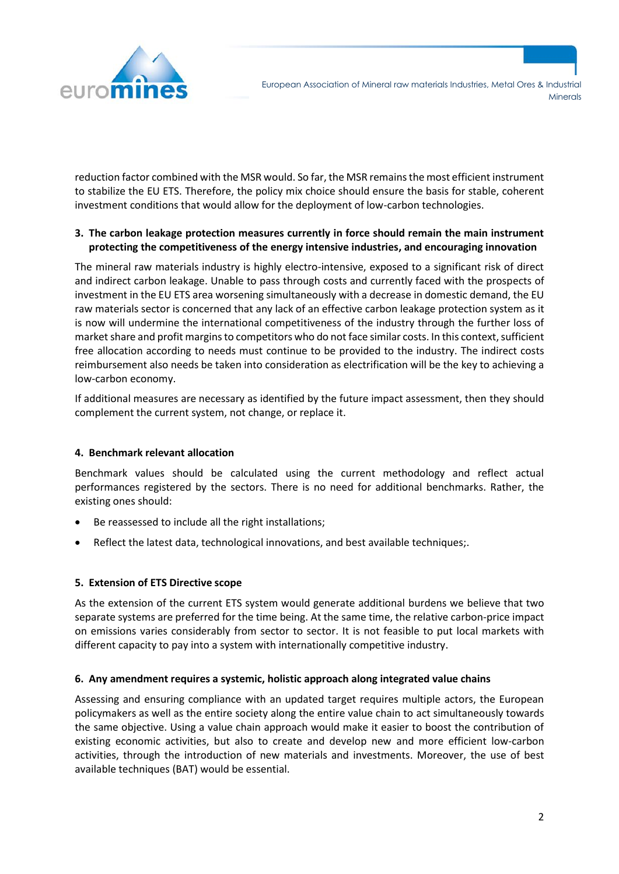

reduction factor combined with the MSR would. So far, the MSR remains the most efficient instrument to stabilize the EU ETS. Therefore, the policy mix choice should ensure the basis for stable, coherent investment conditions that would allow for the deployment of low-carbon technologies.

## **3. The carbon leakage protection measures currently in force should remain the main instrument protecting the competitiveness of the energy intensive industries, and encouraging innovation**

The mineral raw materials industry is highly electro-intensive, exposed to a significant risk of direct and indirect carbon leakage. Unable to pass through costs and currently faced with the prospects of investment in the EU ETS area worsening simultaneously with a decrease in domestic demand, the EU raw materials sector is concerned that any lack of an effective carbon leakage protection system as it is now will undermine the international competitiveness of the industry through the further loss of market share and profit margins to competitors who do not face similar costs. In this context, sufficient free allocation according to needs must continue to be provided to the industry. The indirect costs reimbursement also needs be taken into consideration as electrification will be the key to achieving a low-carbon economy.

If additional measures are necessary as identified by the future impact assessment, then they should complement the current system, not change, or replace it.

## **4. Benchmark relevant allocation**

Benchmark values should be calculated using the current methodology and reflect actual performances registered by the sectors. There is no need for additional benchmarks. Rather, the existing ones should:

- Be reassessed to include all the right installations;
- Reflect the latest data, technological innovations, and best available techniques;.

## **5. Extension of ETS Directive scope**

As the extension of the current ETS system would generate additional burdens we believe that two separate systems are preferred for the time being. At the same time, the relative carbon-price impact on emissions varies considerably from sector to sector. It is not feasible to put local markets with different capacity to pay into a system with internationally competitive industry.

## **6. Any amendment requires a systemic, holistic approach along integrated value chains**

Assessing and ensuring compliance with an updated target requires multiple actors, the European policymakers as well as the entire society along the entire value chain to act simultaneously towards the same objective. Using a value chain approach would make it easier to boost the contribution of existing economic activities, but also to create and develop new and more efficient low-carbon activities, through the introduction of new materials and investments. Moreover, the use of best available techniques (BAT) would be essential.